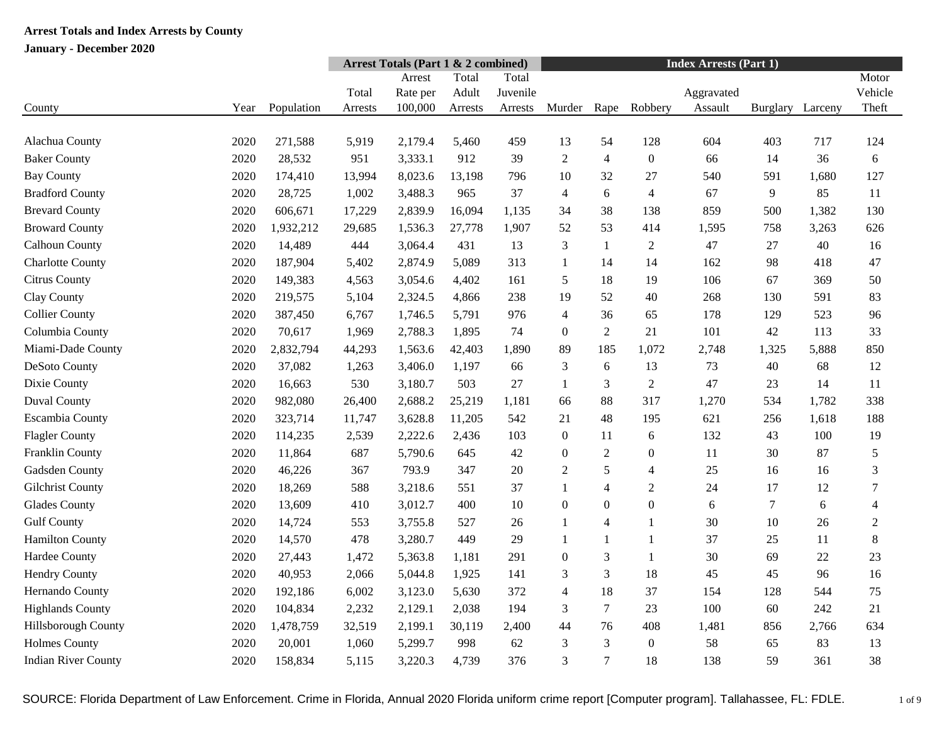| Motor<br>Total<br>Total<br>Arrest<br>Vehicle<br>Adult<br>Juvenile<br>Total<br>Aggravated<br>Rate per<br>100,000<br>Theft<br>County<br>Year<br>Population<br>Murder<br>Rape<br>Robbery<br>Assault<br>Larceny<br>Arrests<br>Arrests<br>Arrests<br>Burglary<br>Alachua County<br>2020<br>271,588<br>5,919<br>2,179.4<br>5,460<br>459<br>13<br>54<br>128<br>604<br>403<br>717<br>124<br>912<br>$\overline{2}$<br>$\boldsymbol{0}$<br><b>Baker County</b><br>2020<br>28,532<br>951<br>3,333.1<br>39<br>$\overline{4}$<br>14<br>36<br>6<br>66<br><b>Bay County</b><br>8,023.6<br>796<br>10<br>32<br>27<br>540<br>591<br>1,680<br>127<br>2020<br>174,410<br>13,994<br>13,198<br><b>Bradford County</b><br>2020<br>28,725<br>1,002<br>3,488.3<br>965<br>37<br>6<br>$\overline{4}$<br>67<br>9<br>85<br>11<br>$\overline{4}$<br><b>Brevard County</b><br>38<br>2020<br>606,671<br>17,229<br>2,839.9<br>16,094<br>1,135<br>34<br>138<br>859<br>500<br>1,382<br>130<br>53<br><b>Broward County</b><br>2020<br>1,536.3<br>27,778<br>1,907<br>52<br>414<br>1,595<br>758<br>3,263<br>626<br>1,932,212<br>29,685<br>Calhoun County<br>14,489<br>444<br>3,064.4<br>431<br>13<br>3<br>$\overline{2}$<br>47<br>27<br>40<br>2020<br>$\mathbf{1}$<br>16<br><b>Charlotte County</b><br>2020<br>187,904<br>2,874.9<br>5,089<br>313<br>162<br>98<br>418<br>47<br>5,402<br>$\mathbf{1}$<br>14<br>14<br><b>Citrus County</b><br>2020<br>149,383<br>3,054.6<br>4,402<br>161<br>5<br>18<br>19<br>106<br>67<br>369<br>50<br>4,563<br>Clay County<br>2020<br>219,575<br>2,324.5<br>238<br>19<br>52<br>40<br>268<br>130<br>591<br>83<br>5,104<br>4,866<br><b>Collier County</b><br>2020<br>5,791<br>976<br>$\overline{4}$<br>36<br>178<br>129<br>523<br>387,450<br>6,767<br>1,746.5<br>65<br>96<br>Columbia County<br>2020<br>70,617<br>2,788.3<br>1,895<br>74<br>2<br>21<br>101<br>42<br>113<br>33<br>1,969<br>$\overline{0}$<br>Miami-Dade County<br>2020<br>2,832,794<br>1,563.6<br>42,403<br>1,890<br>89<br>185<br>1,072<br>2,748<br>1,325<br>5,888<br>850<br>44,293<br>DeSoto County<br>2020<br>37,082<br>3,406.0<br>1,197<br>3<br>6<br>13<br>73<br>40<br>68<br>12<br>1,263<br>66<br>Dixie County<br>$\overline{2}$<br>47<br>530<br>3,180.7<br>503<br>27<br>3<br>2020<br>16,663<br>$\mathbf{1}$<br>23<br>14<br>11<br>338<br><b>Duval County</b><br>2020<br>982,080<br>26,400<br>2,688.2<br>25,219<br>1,181<br>88<br>317<br>1,270<br>534<br>1,782<br>66<br>21<br>48<br>188<br><b>Escambia County</b><br>2020<br>323,714<br>3,628.8<br>11,205<br>542<br>195<br>621<br>256<br>1,618<br>11,747<br><b>Flagler County</b><br>2020<br>114,235<br>2,539<br>2,222.6<br>2,436<br>103<br>$\boldsymbol{0}$<br>$\sqrt{6}$<br>132<br>43<br>100<br>19<br>11<br>Franklin County<br>$\sqrt{2}$<br>5<br>2020<br>11,864<br>687<br>5,790.6<br>645<br>42<br>$\boldsymbol{0}$<br>$\boldsymbol{0}$<br>11<br>30<br>87<br>Gadsden County<br>2020<br>46,226<br>793.9<br>347<br>$\mathbf{2}$<br>5<br>25<br>3<br>367<br>20<br>$\overline{4}$<br>16<br>16<br>37<br>$\overline{2}$<br>24<br>17<br>$\tau$<br>Gilchrist County<br>2020<br>18,269<br>588<br>3,218.6<br>551<br>1<br>$\overline{4}$<br>12<br><b>Glades County</b><br>400<br>$\boldsymbol{0}$<br>$\boldsymbol{0}$<br>2020<br>13,609<br>410<br>3,012.7<br>10<br>$\mathbf{0}$<br>6<br>$\tau$<br>6<br>$\overline{4}$<br><b>Gulf County</b><br>14,724<br>527<br>$\overline{4}$<br>30<br>10<br>26<br>$\sqrt{2}$<br>2020<br>553<br>3,755.8<br>26<br>$\mathbf{1}$<br>$\mathbf{1}$<br>14,570<br>3,280.7<br>449<br>29<br>37<br>25<br>8<br><b>Hamilton County</b><br>2020<br>478<br>1<br>$\mathbf{1}$<br>11<br>1<br>Hardee County<br>291<br>$\overline{0}$<br>3<br>30<br>69<br>22<br>23<br>2020<br>27,443<br>1,472<br>5,363.8<br>1,181<br>1<br><b>Hendry County</b><br>2020<br>40,953<br>5,044.8<br>1,925<br>141<br>3<br>3<br>18<br>45<br>45<br>96<br>16<br>2,066<br>Hernando County<br>372<br>2020<br>6,002<br>3,123.0<br>5,630<br>4<br>18<br>37<br>154<br>544<br>75<br>192,186<br>128<br>$\overline{7}$<br><b>Highlands County</b><br>2020<br>2,129.1<br>2,038<br>194<br>23<br>100<br>60<br>242<br>21<br>104,834<br>2,232<br>3<br>Hillsborough County<br>76<br>634<br>2020<br>1,478,759<br>2,199.1<br>30,119<br>2,400<br>44<br>408<br>1,481<br>2,766<br>32,519<br>856 |                      |      |        | <b>Arrest Totals (Part 1 &amp; 2 combined)</b> |         |     |    | <b>Index Arrests (Part 1)</b> |   |                  |    |    |    |    |
|-----------------------------------------------------------------------------------------------------------------------------------------------------------------------------------------------------------------------------------------------------------------------------------------------------------------------------------------------------------------------------------------------------------------------------------------------------------------------------------------------------------------------------------------------------------------------------------------------------------------------------------------------------------------------------------------------------------------------------------------------------------------------------------------------------------------------------------------------------------------------------------------------------------------------------------------------------------------------------------------------------------------------------------------------------------------------------------------------------------------------------------------------------------------------------------------------------------------------------------------------------------------------------------------------------------------------------------------------------------------------------------------------------------------------------------------------------------------------------------------------------------------------------------------------------------------------------------------------------------------------------------------------------------------------------------------------------------------------------------------------------------------------------------------------------------------------------------------------------------------------------------------------------------------------------------------------------------------------------------------------------------------------------------------------------------------------------------------------------------------------------------------------------------------------------------------------------------------------------------------------------------------------------------------------------------------------------------------------------------------------------------------------------------------------------------------------------------------------------------------------------------------------------------------------------------------------------------------------------------------------------------------------------------------------------------------------------------------------------------------------------------------------------------------------------------------------------------------------------------------------------------------------------------------------------------------------------------------------------------------------------------------------------------------------------------------------------------------------------------------------------------------------------------------------------------------------------------------------------------------------------------------------------------------------------------------------------------------------------------------------------------------------------------------------------------------------------------------------------------------------------------------------------------------------------------------------------------------------------------------------------------------------------------------------------------------------------------------------------------------------------------------------------------------------------------------------------------------------------------------------------------------------------------------------------------------------------------------------------------------------------------------------------------------------------------------------------------------------------------------------------------------------------------------------------------------------------------------------------------------------------------------|----------------------|------|--------|------------------------------------------------|---------|-----|----|-------------------------------|---|------------------|----|----|----|----|
|                                                                                                                                                                                                                                                                                                                                                                                                                                                                                                                                                                                                                                                                                                                                                                                                                                                                                                                                                                                                                                                                                                                                                                                                                                                                                                                                                                                                                                                                                                                                                                                                                                                                                                                                                                                                                                                                                                                                                                                                                                                                                                                                                                                                                                                                                                                                                                                                                                                                                                                                                                                                                                                                                                                                                                                                                                                                                                                                                                                                                                                                                                                                                                                                                                                                                                                                                                                                                                                                                                                                                                                                                                                                                                                                                                                                                                                                                                                                                                                                                                                                                                                                                                                                                                                                 |                      |      |        |                                                |         |     |    |                               |   |                  |    |    |    |    |
|                                                                                                                                                                                                                                                                                                                                                                                                                                                                                                                                                                                                                                                                                                                                                                                                                                                                                                                                                                                                                                                                                                                                                                                                                                                                                                                                                                                                                                                                                                                                                                                                                                                                                                                                                                                                                                                                                                                                                                                                                                                                                                                                                                                                                                                                                                                                                                                                                                                                                                                                                                                                                                                                                                                                                                                                                                                                                                                                                                                                                                                                                                                                                                                                                                                                                                                                                                                                                                                                                                                                                                                                                                                                                                                                                                                                                                                                                                                                                                                                                                                                                                                                                                                                                                                                 |                      |      |        |                                                |         |     |    |                               |   |                  |    |    |    |    |
|                                                                                                                                                                                                                                                                                                                                                                                                                                                                                                                                                                                                                                                                                                                                                                                                                                                                                                                                                                                                                                                                                                                                                                                                                                                                                                                                                                                                                                                                                                                                                                                                                                                                                                                                                                                                                                                                                                                                                                                                                                                                                                                                                                                                                                                                                                                                                                                                                                                                                                                                                                                                                                                                                                                                                                                                                                                                                                                                                                                                                                                                                                                                                                                                                                                                                                                                                                                                                                                                                                                                                                                                                                                                                                                                                                                                                                                                                                                                                                                                                                                                                                                                                                                                                                                                 |                      |      |        |                                                |         |     |    |                               |   |                  |    |    |    |    |
|                                                                                                                                                                                                                                                                                                                                                                                                                                                                                                                                                                                                                                                                                                                                                                                                                                                                                                                                                                                                                                                                                                                                                                                                                                                                                                                                                                                                                                                                                                                                                                                                                                                                                                                                                                                                                                                                                                                                                                                                                                                                                                                                                                                                                                                                                                                                                                                                                                                                                                                                                                                                                                                                                                                                                                                                                                                                                                                                                                                                                                                                                                                                                                                                                                                                                                                                                                                                                                                                                                                                                                                                                                                                                                                                                                                                                                                                                                                                                                                                                                                                                                                                                                                                                                                                 |                      |      |        |                                                |         |     |    |                               |   |                  |    |    |    |    |
|                                                                                                                                                                                                                                                                                                                                                                                                                                                                                                                                                                                                                                                                                                                                                                                                                                                                                                                                                                                                                                                                                                                                                                                                                                                                                                                                                                                                                                                                                                                                                                                                                                                                                                                                                                                                                                                                                                                                                                                                                                                                                                                                                                                                                                                                                                                                                                                                                                                                                                                                                                                                                                                                                                                                                                                                                                                                                                                                                                                                                                                                                                                                                                                                                                                                                                                                                                                                                                                                                                                                                                                                                                                                                                                                                                                                                                                                                                                                                                                                                                                                                                                                                                                                                                                                 |                      |      |        |                                                |         |     |    |                               |   |                  |    |    |    |    |
|                                                                                                                                                                                                                                                                                                                                                                                                                                                                                                                                                                                                                                                                                                                                                                                                                                                                                                                                                                                                                                                                                                                                                                                                                                                                                                                                                                                                                                                                                                                                                                                                                                                                                                                                                                                                                                                                                                                                                                                                                                                                                                                                                                                                                                                                                                                                                                                                                                                                                                                                                                                                                                                                                                                                                                                                                                                                                                                                                                                                                                                                                                                                                                                                                                                                                                                                                                                                                                                                                                                                                                                                                                                                                                                                                                                                                                                                                                                                                                                                                                                                                                                                                                                                                                                                 |                      |      |        |                                                |         |     |    |                               |   |                  |    |    |    |    |
|                                                                                                                                                                                                                                                                                                                                                                                                                                                                                                                                                                                                                                                                                                                                                                                                                                                                                                                                                                                                                                                                                                                                                                                                                                                                                                                                                                                                                                                                                                                                                                                                                                                                                                                                                                                                                                                                                                                                                                                                                                                                                                                                                                                                                                                                                                                                                                                                                                                                                                                                                                                                                                                                                                                                                                                                                                                                                                                                                                                                                                                                                                                                                                                                                                                                                                                                                                                                                                                                                                                                                                                                                                                                                                                                                                                                                                                                                                                                                                                                                                                                                                                                                                                                                                                                 |                      |      |        |                                                |         |     |    |                               |   |                  |    |    |    |    |
|                                                                                                                                                                                                                                                                                                                                                                                                                                                                                                                                                                                                                                                                                                                                                                                                                                                                                                                                                                                                                                                                                                                                                                                                                                                                                                                                                                                                                                                                                                                                                                                                                                                                                                                                                                                                                                                                                                                                                                                                                                                                                                                                                                                                                                                                                                                                                                                                                                                                                                                                                                                                                                                                                                                                                                                                                                                                                                                                                                                                                                                                                                                                                                                                                                                                                                                                                                                                                                                                                                                                                                                                                                                                                                                                                                                                                                                                                                                                                                                                                                                                                                                                                                                                                                                                 |                      |      |        |                                                |         |     |    |                               |   |                  |    |    |    |    |
|                                                                                                                                                                                                                                                                                                                                                                                                                                                                                                                                                                                                                                                                                                                                                                                                                                                                                                                                                                                                                                                                                                                                                                                                                                                                                                                                                                                                                                                                                                                                                                                                                                                                                                                                                                                                                                                                                                                                                                                                                                                                                                                                                                                                                                                                                                                                                                                                                                                                                                                                                                                                                                                                                                                                                                                                                                                                                                                                                                                                                                                                                                                                                                                                                                                                                                                                                                                                                                                                                                                                                                                                                                                                                                                                                                                                                                                                                                                                                                                                                                                                                                                                                                                                                                                                 |                      |      |        |                                                |         |     |    |                               |   |                  |    |    |    |    |
|                                                                                                                                                                                                                                                                                                                                                                                                                                                                                                                                                                                                                                                                                                                                                                                                                                                                                                                                                                                                                                                                                                                                                                                                                                                                                                                                                                                                                                                                                                                                                                                                                                                                                                                                                                                                                                                                                                                                                                                                                                                                                                                                                                                                                                                                                                                                                                                                                                                                                                                                                                                                                                                                                                                                                                                                                                                                                                                                                                                                                                                                                                                                                                                                                                                                                                                                                                                                                                                                                                                                                                                                                                                                                                                                                                                                                                                                                                                                                                                                                                                                                                                                                                                                                                                                 |                      |      |        |                                                |         |     |    |                               |   |                  |    |    |    |    |
|                                                                                                                                                                                                                                                                                                                                                                                                                                                                                                                                                                                                                                                                                                                                                                                                                                                                                                                                                                                                                                                                                                                                                                                                                                                                                                                                                                                                                                                                                                                                                                                                                                                                                                                                                                                                                                                                                                                                                                                                                                                                                                                                                                                                                                                                                                                                                                                                                                                                                                                                                                                                                                                                                                                                                                                                                                                                                                                                                                                                                                                                                                                                                                                                                                                                                                                                                                                                                                                                                                                                                                                                                                                                                                                                                                                                                                                                                                                                                                                                                                                                                                                                                                                                                                                                 |                      |      |        |                                                |         |     |    |                               |   |                  |    |    |    |    |
|                                                                                                                                                                                                                                                                                                                                                                                                                                                                                                                                                                                                                                                                                                                                                                                                                                                                                                                                                                                                                                                                                                                                                                                                                                                                                                                                                                                                                                                                                                                                                                                                                                                                                                                                                                                                                                                                                                                                                                                                                                                                                                                                                                                                                                                                                                                                                                                                                                                                                                                                                                                                                                                                                                                                                                                                                                                                                                                                                                                                                                                                                                                                                                                                                                                                                                                                                                                                                                                                                                                                                                                                                                                                                                                                                                                                                                                                                                                                                                                                                                                                                                                                                                                                                                                                 |                      |      |        |                                                |         |     |    |                               |   |                  |    |    |    |    |
|                                                                                                                                                                                                                                                                                                                                                                                                                                                                                                                                                                                                                                                                                                                                                                                                                                                                                                                                                                                                                                                                                                                                                                                                                                                                                                                                                                                                                                                                                                                                                                                                                                                                                                                                                                                                                                                                                                                                                                                                                                                                                                                                                                                                                                                                                                                                                                                                                                                                                                                                                                                                                                                                                                                                                                                                                                                                                                                                                                                                                                                                                                                                                                                                                                                                                                                                                                                                                                                                                                                                                                                                                                                                                                                                                                                                                                                                                                                                                                                                                                                                                                                                                                                                                                                                 |                      |      |        |                                                |         |     |    |                               |   |                  |    |    |    |    |
|                                                                                                                                                                                                                                                                                                                                                                                                                                                                                                                                                                                                                                                                                                                                                                                                                                                                                                                                                                                                                                                                                                                                                                                                                                                                                                                                                                                                                                                                                                                                                                                                                                                                                                                                                                                                                                                                                                                                                                                                                                                                                                                                                                                                                                                                                                                                                                                                                                                                                                                                                                                                                                                                                                                                                                                                                                                                                                                                                                                                                                                                                                                                                                                                                                                                                                                                                                                                                                                                                                                                                                                                                                                                                                                                                                                                                                                                                                                                                                                                                                                                                                                                                                                                                                                                 |                      |      |        |                                                |         |     |    |                               |   |                  |    |    |    |    |
|                                                                                                                                                                                                                                                                                                                                                                                                                                                                                                                                                                                                                                                                                                                                                                                                                                                                                                                                                                                                                                                                                                                                                                                                                                                                                                                                                                                                                                                                                                                                                                                                                                                                                                                                                                                                                                                                                                                                                                                                                                                                                                                                                                                                                                                                                                                                                                                                                                                                                                                                                                                                                                                                                                                                                                                                                                                                                                                                                                                                                                                                                                                                                                                                                                                                                                                                                                                                                                                                                                                                                                                                                                                                                                                                                                                                                                                                                                                                                                                                                                                                                                                                                                                                                                                                 |                      |      |        |                                                |         |     |    |                               |   |                  |    |    |    |    |
|                                                                                                                                                                                                                                                                                                                                                                                                                                                                                                                                                                                                                                                                                                                                                                                                                                                                                                                                                                                                                                                                                                                                                                                                                                                                                                                                                                                                                                                                                                                                                                                                                                                                                                                                                                                                                                                                                                                                                                                                                                                                                                                                                                                                                                                                                                                                                                                                                                                                                                                                                                                                                                                                                                                                                                                                                                                                                                                                                                                                                                                                                                                                                                                                                                                                                                                                                                                                                                                                                                                                                                                                                                                                                                                                                                                                                                                                                                                                                                                                                                                                                                                                                                                                                                                                 |                      |      |        |                                                |         |     |    |                               |   |                  |    |    |    |    |
|                                                                                                                                                                                                                                                                                                                                                                                                                                                                                                                                                                                                                                                                                                                                                                                                                                                                                                                                                                                                                                                                                                                                                                                                                                                                                                                                                                                                                                                                                                                                                                                                                                                                                                                                                                                                                                                                                                                                                                                                                                                                                                                                                                                                                                                                                                                                                                                                                                                                                                                                                                                                                                                                                                                                                                                                                                                                                                                                                                                                                                                                                                                                                                                                                                                                                                                                                                                                                                                                                                                                                                                                                                                                                                                                                                                                                                                                                                                                                                                                                                                                                                                                                                                                                                                                 |                      |      |        |                                                |         |     |    |                               |   |                  |    |    |    |    |
|                                                                                                                                                                                                                                                                                                                                                                                                                                                                                                                                                                                                                                                                                                                                                                                                                                                                                                                                                                                                                                                                                                                                                                                                                                                                                                                                                                                                                                                                                                                                                                                                                                                                                                                                                                                                                                                                                                                                                                                                                                                                                                                                                                                                                                                                                                                                                                                                                                                                                                                                                                                                                                                                                                                                                                                                                                                                                                                                                                                                                                                                                                                                                                                                                                                                                                                                                                                                                                                                                                                                                                                                                                                                                                                                                                                                                                                                                                                                                                                                                                                                                                                                                                                                                                                                 |                      |      |        |                                                |         |     |    |                               |   |                  |    |    |    |    |
|                                                                                                                                                                                                                                                                                                                                                                                                                                                                                                                                                                                                                                                                                                                                                                                                                                                                                                                                                                                                                                                                                                                                                                                                                                                                                                                                                                                                                                                                                                                                                                                                                                                                                                                                                                                                                                                                                                                                                                                                                                                                                                                                                                                                                                                                                                                                                                                                                                                                                                                                                                                                                                                                                                                                                                                                                                                                                                                                                                                                                                                                                                                                                                                                                                                                                                                                                                                                                                                                                                                                                                                                                                                                                                                                                                                                                                                                                                                                                                                                                                                                                                                                                                                                                                                                 |                      |      |        |                                                |         |     |    |                               |   |                  |    |    |    |    |
|                                                                                                                                                                                                                                                                                                                                                                                                                                                                                                                                                                                                                                                                                                                                                                                                                                                                                                                                                                                                                                                                                                                                                                                                                                                                                                                                                                                                                                                                                                                                                                                                                                                                                                                                                                                                                                                                                                                                                                                                                                                                                                                                                                                                                                                                                                                                                                                                                                                                                                                                                                                                                                                                                                                                                                                                                                                                                                                                                                                                                                                                                                                                                                                                                                                                                                                                                                                                                                                                                                                                                                                                                                                                                                                                                                                                                                                                                                                                                                                                                                                                                                                                                                                                                                                                 |                      |      |        |                                                |         |     |    |                               |   |                  |    |    |    |    |
|                                                                                                                                                                                                                                                                                                                                                                                                                                                                                                                                                                                                                                                                                                                                                                                                                                                                                                                                                                                                                                                                                                                                                                                                                                                                                                                                                                                                                                                                                                                                                                                                                                                                                                                                                                                                                                                                                                                                                                                                                                                                                                                                                                                                                                                                                                                                                                                                                                                                                                                                                                                                                                                                                                                                                                                                                                                                                                                                                                                                                                                                                                                                                                                                                                                                                                                                                                                                                                                                                                                                                                                                                                                                                                                                                                                                                                                                                                                                                                                                                                                                                                                                                                                                                                                                 |                      |      |        |                                                |         |     |    |                               |   |                  |    |    |    |    |
|                                                                                                                                                                                                                                                                                                                                                                                                                                                                                                                                                                                                                                                                                                                                                                                                                                                                                                                                                                                                                                                                                                                                                                                                                                                                                                                                                                                                                                                                                                                                                                                                                                                                                                                                                                                                                                                                                                                                                                                                                                                                                                                                                                                                                                                                                                                                                                                                                                                                                                                                                                                                                                                                                                                                                                                                                                                                                                                                                                                                                                                                                                                                                                                                                                                                                                                                                                                                                                                                                                                                                                                                                                                                                                                                                                                                                                                                                                                                                                                                                                                                                                                                                                                                                                                                 |                      |      |        |                                                |         |     |    |                               |   |                  |    |    |    |    |
|                                                                                                                                                                                                                                                                                                                                                                                                                                                                                                                                                                                                                                                                                                                                                                                                                                                                                                                                                                                                                                                                                                                                                                                                                                                                                                                                                                                                                                                                                                                                                                                                                                                                                                                                                                                                                                                                                                                                                                                                                                                                                                                                                                                                                                                                                                                                                                                                                                                                                                                                                                                                                                                                                                                                                                                                                                                                                                                                                                                                                                                                                                                                                                                                                                                                                                                                                                                                                                                                                                                                                                                                                                                                                                                                                                                                                                                                                                                                                                                                                                                                                                                                                                                                                                                                 |                      |      |        |                                                |         |     |    |                               |   |                  |    |    |    |    |
|                                                                                                                                                                                                                                                                                                                                                                                                                                                                                                                                                                                                                                                                                                                                                                                                                                                                                                                                                                                                                                                                                                                                                                                                                                                                                                                                                                                                                                                                                                                                                                                                                                                                                                                                                                                                                                                                                                                                                                                                                                                                                                                                                                                                                                                                                                                                                                                                                                                                                                                                                                                                                                                                                                                                                                                                                                                                                                                                                                                                                                                                                                                                                                                                                                                                                                                                                                                                                                                                                                                                                                                                                                                                                                                                                                                                                                                                                                                                                                                                                                                                                                                                                                                                                                                                 |                      |      |        |                                                |         |     |    |                               |   |                  |    |    |    |    |
|                                                                                                                                                                                                                                                                                                                                                                                                                                                                                                                                                                                                                                                                                                                                                                                                                                                                                                                                                                                                                                                                                                                                                                                                                                                                                                                                                                                                                                                                                                                                                                                                                                                                                                                                                                                                                                                                                                                                                                                                                                                                                                                                                                                                                                                                                                                                                                                                                                                                                                                                                                                                                                                                                                                                                                                                                                                                                                                                                                                                                                                                                                                                                                                                                                                                                                                                                                                                                                                                                                                                                                                                                                                                                                                                                                                                                                                                                                                                                                                                                                                                                                                                                                                                                                                                 |                      |      |        |                                                |         |     |    |                               |   |                  |    |    |    |    |
|                                                                                                                                                                                                                                                                                                                                                                                                                                                                                                                                                                                                                                                                                                                                                                                                                                                                                                                                                                                                                                                                                                                                                                                                                                                                                                                                                                                                                                                                                                                                                                                                                                                                                                                                                                                                                                                                                                                                                                                                                                                                                                                                                                                                                                                                                                                                                                                                                                                                                                                                                                                                                                                                                                                                                                                                                                                                                                                                                                                                                                                                                                                                                                                                                                                                                                                                                                                                                                                                                                                                                                                                                                                                                                                                                                                                                                                                                                                                                                                                                                                                                                                                                                                                                                                                 |                      |      |        |                                                |         |     |    |                               |   |                  |    |    |    |    |
|                                                                                                                                                                                                                                                                                                                                                                                                                                                                                                                                                                                                                                                                                                                                                                                                                                                                                                                                                                                                                                                                                                                                                                                                                                                                                                                                                                                                                                                                                                                                                                                                                                                                                                                                                                                                                                                                                                                                                                                                                                                                                                                                                                                                                                                                                                                                                                                                                                                                                                                                                                                                                                                                                                                                                                                                                                                                                                                                                                                                                                                                                                                                                                                                                                                                                                                                                                                                                                                                                                                                                                                                                                                                                                                                                                                                                                                                                                                                                                                                                                                                                                                                                                                                                                                                 |                      |      |        |                                                |         |     |    |                               |   |                  |    |    |    |    |
|                                                                                                                                                                                                                                                                                                                                                                                                                                                                                                                                                                                                                                                                                                                                                                                                                                                                                                                                                                                                                                                                                                                                                                                                                                                                                                                                                                                                                                                                                                                                                                                                                                                                                                                                                                                                                                                                                                                                                                                                                                                                                                                                                                                                                                                                                                                                                                                                                                                                                                                                                                                                                                                                                                                                                                                                                                                                                                                                                                                                                                                                                                                                                                                                                                                                                                                                                                                                                                                                                                                                                                                                                                                                                                                                                                                                                                                                                                                                                                                                                                                                                                                                                                                                                                                                 |                      |      |        |                                                |         |     |    |                               |   |                  |    |    |    |    |
|                                                                                                                                                                                                                                                                                                                                                                                                                                                                                                                                                                                                                                                                                                                                                                                                                                                                                                                                                                                                                                                                                                                                                                                                                                                                                                                                                                                                                                                                                                                                                                                                                                                                                                                                                                                                                                                                                                                                                                                                                                                                                                                                                                                                                                                                                                                                                                                                                                                                                                                                                                                                                                                                                                                                                                                                                                                                                                                                                                                                                                                                                                                                                                                                                                                                                                                                                                                                                                                                                                                                                                                                                                                                                                                                                                                                                                                                                                                                                                                                                                                                                                                                                                                                                                                                 |                      |      |        |                                                |         |     |    |                               |   |                  |    |    |    |    |
|                                                                                                                                                                                                                                                                                                                                                                                                                                                                                                                                                                                                                                                                                                                                                                                                                                                                                                                                                                                                                                                                                                                                                                                                                                                                                                                                                                                                                                                                                                                                                                                                                                                                                                                                                                                                                                                                                                                                                                                                                                                                                                                                                                                                                                                                                                                                                                                                                                                                                                                                                                                                                                                                                                                                                                                                                                                                                                                                                                                                                                                                                                                                                                                                                                                                                                                                                                                                                                                                                                                                                                                                                                                                                                                                                                                                                                                                                                                                                                                                                                                                                                                                                                                                                                                                 |                      |      |        |                                                |         |     |    |                               |   |                  |    |    |    |    |
|                                                                                                                                                                                                                                                                                                                                                                                                                                                                                                                                                                                                                                                                                                                                                                                                                                                                                                                                                                                                                                                                                                                                                                                                                                                                                                                                                                                                                                                                                                                                                                                                                                                                                                                                                                                                                                                                                                                                                                                                                                                                                                                                                                                                                                                                                                                                                                                                                                                                                                                                                                                                                                                                                                                                                                                                                                                                                                                                                                                                                                                                                                                                                                                                                                                                                                                                                                                                                                                                                                                                                                                                                                                                                                                                                                                                                                                                                                                                                                                                                                                                                                                                                                                                                                                                 |                      |      |        |                                                |         |     |    |                               |   |                  |    |    |    |    |
|                                                                                                                                                                                                                                                                                                                                                                                                                                                                                                                                                                                                                                                                                                                                                                                                                                                                                                                                                                                                                                                                                                                                                                                                                                                                                                                                                                                                                                                                                                                                                                                                                                                                                                                                                                                                                                                                                                                                                                                                                                                                                                                                                                                                                                                                                                                                                                                                                                                                                                                                                                                                                                                                                                                                                                                                                                                                                                                                                                                                                                                                                                                                                                                                                                                                                                                                                                                                                                                                                                                                                                                                                                                                                                                                                                                                                                                                                                                                                                                                                                                                                                                                                                                                                                                                 |                      |      |        |                                                |         |     |    |                               |   |                  |    |    |    |    |
|                                                                                                                                                                                                                                                                                                                                                                                                                                                                                                                                                                                                                                                                                                                                                                                                                                                                                                                                                                                                                                                                                                                                                                                                                                                                                                                                                                                                                                                                                                                                                                                                                                                                                                                                                                                                                                                                                                                                                                                                                                                                                                                                                                                                                                                                                                                                                                                                                                                                                                                                                                                                                                                                                                                                                                                                                                                                                                                                                                                                                                                                                                                                                                                                                                                                                                                                                                                                                                                                                                                                                                                                                                                                                                                                                                                                                                                                                                                                                                                                                                                                                                                                                                                                                                                                 | <b>Holmes County</b> | 2020 | 20,001 | 1,060                                          | 5,299.7 | 998 | 62 | 3                             | 3 | $\boldsymbol{0}$ | 58 | 65 | 83 | 13 |
| 3<br>2020<br>158,834<br>3,220.3<br>4,739<br>376<br>7<br>18<br>138<br>59<br>38<br><b>Indian River County</b><br>5,115<br>361                                                                                                                                                                                                                                                                                                                                                                                                                                                                                                                                                                                                                                                                                                                                                                                                                                                                                                                                                                                                                                                                                                                                                                                                                                                                                                                                                                                                                                                                                                                                                                                                                                                                                                                                                                                                                                                                                                                                                                                                                                                                                                                                                                                                                                                                                                                                                                                                                                                                                                                                                                                                                                                                                                                                                                                                                                                                                                                                                                                                                                                                                                                                                                                                                                                                                                                                                                                                                                                                                                                                                                                                                                                                                                                                                                                                                                                                                                                                                                                                                                                                                                                                     |                      |      |        |                                                |         |     |    |                               |   |                  |    |    |    |    |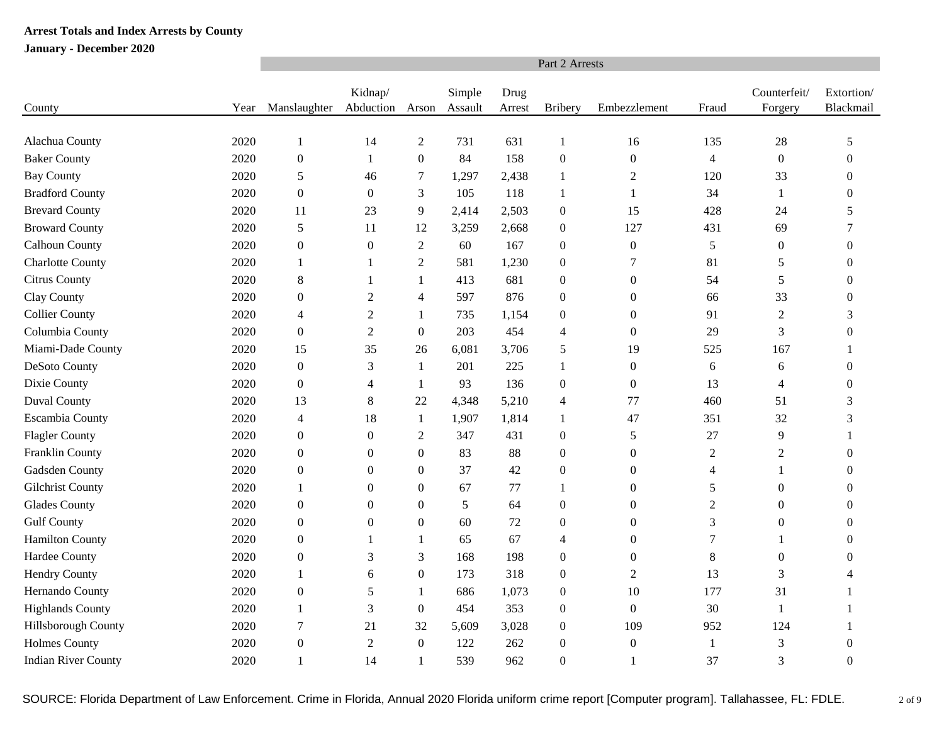|                            |      | Part 2 Arrests   |                      |                  |                   |                |                  |                  |                |                         |                         |  |  |
|----------------------------|------|------------------|----------------------|------------------|-------------------|----------------|------------------|------------------|----------------|-------------------------|-------------------------|--|--|
| County                     | Year | Manslaughter     | Kidnap/<br>Abduction | Arson            | Simple<br>Assault | Drug<br>Arrest | <b>Bribery</b>   | Embezzlement     | Fraud          | Counterfeit/<br>Forgery | Extortion/<br>Blackmail |  |  |
|                            |      |                  |                      |                  |                   |                |                  |                  |                |                         |                         |  |  |
| Alachua County             | 2020 | $\mathbf{1}$     | 14                   | $\overline{c}$   | 731               | 631            | 1                | 16               | 135            | 28                      | 5                       |  |  |
| <b>Baker County</b>        | 2020 | $\boldsymbol{0}$ | 1                    | $\overline{0}$   | 84                | 158            | $\mathbf{0}$     | $\boldsymbol{0}$ | $\overline{4}$ | $\boldsymbol{0}$        | $\Omega$                |  |  |
| <b>Bay County</b>          | 2020 | 5                | 46                   | 7                | 1,297             | 2,438          | $\mathbf{1}$     | 2                | 120            | 33                      | $\Omega$                |  |  |
| <b>Bradford County</b>     | 2020 | $\boldsymbol{0}$ | $\mathbf{0}$         | 3                | 105               | 118            | 1                | $\mathbf{1}$     | 34             | $\mathbf{1}$            | 0                       |  |  |
| <b>Brevard County</b>      | 2020 | 11               | 23                   | 9                | 2,414             | 2,503          | $\mathbf{0}$     | 15               | 428            | 24                      | 5                       |  |  |
| <b>Broward County</b>      | 2020 | 5                | 11                   | 12               | 3,259             | 2,668          | $\boldsymbol{0}$ | 127              | 431            | 69                      | 7                       |  |  |
| Calhoun County             | 2020 | $\boldsymbol{0}$ | $\boldsymbol{0}$     | $\mathbf{2}$     | 60                | 167            | $\boldsymbol{0}$ | $\boldsymbol{0}$ | $\sqrt{5}$     | $\boldsymbol{0}$        | $\overline{0}$          |  |  |
| <b>Charlotte County</b>    | 2020 | 1                | 1                    | 2                | 581               | 1,230          | $\overline{0}$   | 7                | 81             | 5                       | $\Omega$                |  |  |
| Citrus County              | 2020 | 8                | -1                   | 1                | 413               | 681            | $\overline{0}$   | $\boldsymbol{0}$ | 54             | 5                       | 0                       |  |  |
| Clay County                | 2020 | $\boldsymbol{0}$ | $\overline{2}$       | 4                | 597               | 876            | $\boldsymbol{0}$ | $\boldsymbol{0}$ | 66             | 33                      | $\Omega$                |  |  |
| <b>Collier County</b>      | 2020 | 4                | $\overline{2}$       | 1                | 735               | 1,154          | $\overline{0}$   | $\mathbf{0}$     | 91             | $\mathfrak{2}$          | 3                       |  |  |
| Columbia County            | 2020 | $\boldsymbol{0}$ | $\overline{2}$       | $\overline{0}$   | 203               | 454            | $\overline{4}$   | $\boldsymbol{0}$ | 29             | 3                       | 0                       |  |  |
| Miami-Dade County          | 2020 | 15               | 35                   | 26               | 6,081             | 3,706          | 5                | 19               | 525            | 167                     | 1                       |  |  |
| DeSoto County              | 2020 | $\boldsymbol{0}$ | 3                    | $\mathbf{1}$     | 201               | 225            | $\mathbf{1}$     | $\boldsymbol{0}$ | 6              | 6                       | $\theta$                |  |  |
| Dixie County               | 2020 | $\boldsymbol{0}$ | 4                    | 1                | 93                | 136            | $\boldsymbol{0}$ | $\boldsymbol{0}$ | 13             | 4                       | $\overline{0}$          |  |  |
| <b>Duval County</b>        | 2020 | 13               | $\,8\,$              | 22               | 4,348             | 5,210          | $\overline{4}$   | 77               | 460            | 51                      | 3                       |  |  |
| Escambia County            | 2020 | 4                | 18                   | 1                | 1,907             | 1,814          | 1                | 47               | 351            | 32                      | 3                       |  |  |
| <b>Flagler County</b>      | 2020 | $\boldsymbol{0}$ | $\boldsymbol{0}$     | $\boldsymbol{2}$ | 347               | 431            | $\boldsymbol{0}$ | 5                | 27             | 9                       |                         |  |  |
| Franklin County            | 2020 | $\boldsymbol{0}$ | $\overline{0}$       | $\boldsymbol{0}$ | 83                | 88             | $\mathbf{0}$     | $\boldsymbol{0}$ | $\mathfrak{2}$ | $\mathfrak{2}$          | $\Omega$                |  |  |
| Gadsden County             | 2020 | $\boldsymbol{0}$ | $\overline{0}$       | $\boldsymbol{0}$ | 37                | 42             | $\boldsymbol{0}$ | $\boldsymbol{0}$ | 4              | 1                       | $\Omega$                |  |  |
| Gilchrist County           | 2020 | 1                | $\boldsymbol{0}$     | $\Omega$         | 67                | 77             | 1                | $\boldsymbol{0}$ | 5              | $\boldsymbol{0}$        | $\Omega$                |  |  |
| Glades County              | 2020 | $\boldsymbol{0}$ | $\mathbf{0}$         | $\mathbf{0}$     | 5                 | 64             | $\boldsymbol{0}$ | $\boldsymbol{0}$ | $\mathfrak{2}$ | $\boldsymbol{0}$        | $\theta$                |  |  |
| <b>Gulf County</b>         | 2020 | $\boldsymbol{0}$ | $\boldsymbol{0}$     | $\boldsymbol{0}$ | 60                | 72             | $\boldsymbol{0}$ | $\boldsymbol{0}$ | 3              | $\boldsymbol{0}$        | $\Omega$                |  |  |
| <b>Hamilton County</b>     | 2020 | $\boldsymbol{0}$ | 1                    | -1               | 65                | 67             | $\overline{4}$   | $\theta$         | 7              | 1                       | 0                       |  |  |
| Hardee County              | 2020 | $\boldsymbol{0}$ | 3                    | 3                | 168               | 198            | $\overline{0}$   | $\mathbf{0}$     | $\,8\,$        | $\theta$                | 0                       |  |  |
| <b>Hendry County</b>       | 2020 | 1                | 6                    | $\boldsymbol{0}$ | 173               | 318            | $\boldsymbol{0}$ | $\mathfrak{2}$   | 13             | 3                       | Δ                       |  |  |
| Hernando County            | 2020 | $\boldsymbol{0}$ | 5                    | -1               | 686               | 1,073          | $\overline{0}$   | 10               | 177            | 31                      | 1                       |  |  |
| <b>Highlands County</b>    | 2020 | 1                | 3                    | $\boldsymbol{0}$ | 454               | 353            | $\boldsymbol{0}$ | $\boldsymbol{0}$ | 30             | $\mathbf{1}$            | 1                       |  |  |
| Hillsborough County        | 2020 | $\tau$           | 21                   | 32               | 5,609             | 3,028          | $\boldsymbol{0}$ | 109              | 952            | 124                     |                         |  |  |
| <b>Holmes County</b>       | 2020 | $\boldsymbol{0}$ | $\overline{2}$       | $\boldsymbol{0}$ | 122               | 262            | $\mathbf{0}$     | $\boldsymbol{0}$ | $\mathbf{1}$   | 3                       | $\overline{0}$          |  |  |
| <b>Indian River County</b> | 2020 | $\mathbf{1}$     | 14                   |                  | 539               | 962            | $\Omega$         | $\mathbf{1}$     | 37             | 3                       | $\theta$                |  |  |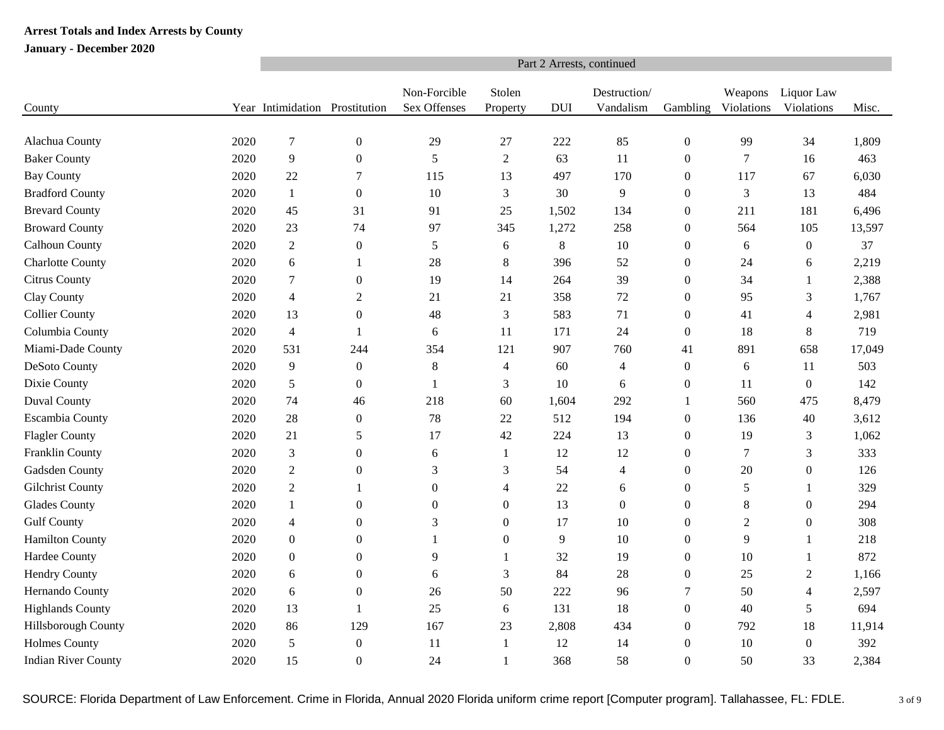|                            |      | Part 2 Arrests, continued      |                  |                              |                    |            |                           |                  |                       |                          |        |  |  |  |
|----------------------------|------|--------------------------------|------------------|------------------------------|--------------------|------------|---------------------------|------------------|-----------------------|--------------------------|--------|--|--|--|
| County                     |      | Year Intimidation Prostitution |                  | Non-Forcible<br>Sex Offenses | Stolen<br>Property | <b>DUI</b> | Destruction/<br>Vandalism | Gambling         | Weapons<br>Violations | Liquor Law<br>Violations | Misc.  |  |  |  |
|                            |      |                                |                  |                              |                    |            |                           |                  |                       |                          |        |  |  |  |
| Alachua County             | 2020 | 7                              | $\boldsymbol{0}$ | 29                           | 27                 | 222        | 85                        | $\boldsymbol{0}$ | 99                    | 34                       | 1,809  |  |  |  |
| <b>Baker County</b>        | 2020 | $\overline{9}$                 | $\boldsymbol{0}$ | 5                            | $\sqrt{2}$         | 63         | 11                        | $\boldsymbol{0}$ | $\tau$                | 16                       | 463    |  |  |  |
| <b>Bay County</b>          | 2020 | 22                             | 7                | 115                          | 13                 | 497        | 170                       | $\mathbf{0}$     | 117                   | 67                       | 6,030  |  |  |  |
| <b>Bradford County</b>     | 2020 | $\mathbf{1}$                   | $\boldsymbol{0}$ | 10                           | 3                  | 30         | 9                         | $\boldsymbol{0}$ | $\mathfrak{Z}$        | 13                       | 484    |  |  |  |
| <b>Brevard County</b>      | 2020 | 45                             | 31               | 91                           | 25                 | 1,502      | 134                       | $\boldsymbol{0}$ | 211                   | 181                      | 6,496  |  |  |  |
| <b>Broward County</b>      | 2020 | 23                             | 74               | 97                           | 345                | 1,272      | 258                       | $\theta$         | 564                   | 105                      | 13,597 |  |  |  |
| Calhoun County             | 2020 | $\overline{2}$                 | $\boldsymbol{0}$ | $\sqrt{5}$                   | $\epsilon$         | $8\,$      | 10                        | $\boldsymbol{0}$ | 6                     | $\boldsymbol{0}$         | 37     |  |  |  |
| <b>Charlotte County</b>    | 2020 | 6                              | 1                | 28                           | 8                  | 396        | 52                        | $\boldsymbol{0}$ | 24                    | 6                        | 2,219  |  |  |  |
| Citrus County              | 2020 | $\overline{7}$                 | $\boldsymbol{0}$ | 19                           | 14                 | 264        | 39                        | $\theta$         | 34                    | 1                        | 2,388  |  |  |  |
| Clay County                | 2020 | $\overline{4}$                 | $\boldsymbol{2}$ | 21                           | 21                 | 358        | 72                        | $\Omega$         | 95                    | 3                        | 1,767  |  |  |  |
| <b>Collier County</b>      | 2020 | 13                             | $\boldsymbol{0}$ | 48                           | 3                  | 583        | 71                        | $\boldsymbol{0}$ | 41                    | 4                        | 2,981  |  |  |  |
| Columbia County            | 2020 | $\overline{4}$                 | 1                | 6                            | 11                 | 171        | 24                        | $\boldsymbol{0}$ | 18                    | 8                        | 719    |  |  |  |
| Miami-Dade County          | 2020 | 531                            | 244              | 354                          | 121                | 907        | 760                       | 41               | 891                   | 658                      | 17,049 |  |  |  |
| DeSoto County              | 2020 | $\overline{9}$                 | $\boldsymbol{0}$ | $\,8\,$                      | $\overline{4}$     | 60         | 4                         | $\boldsymbol{0}$ | 6                     | 11                       | 503    |  |  |  |
| Dixie County               | 2020 | $\sqrt{5}$                     | $\boldsymbol{0}$ | $\mathbf{1}$                 | $\mathfrak{Z}$     | 10         | 6                         | $\boldsymbol{0}$ | 11                    | $\boldsymbol{0}$         | 142    |  |  |  |
| Duval County               | 2020 | 74                             | 46               | 218                          | 60                 | 1,604      | 292                       | 1                | 560                   | 475                      | 8,479  |  |  |  |
| <b>Escambia County</b>     | 2020 | 28                             | $\boldsymbol{0}$ | 78                           | 22                 | 512        | 194                       | $\boldsymbol{0}$ | 136                   | 40                       | 3,612  |  |  |  |
| <b>Flagler County</b>      | 2020 | 21                             | 5                | 17                           | 42                 | 224        | 13                        | $\boldsymbol{0}$ | 19                    | 3                        | 1,062  |  |  |  |
| Franklin County            | 2020 | $\mathfrak{Z}$                 | $\boldsymbol{0}$ | 6                            | 1                  | 12         | 12                        | $\boldsymbol{0}$ | 7                     | 3                        | 333    |  |  |  |
| Gadsden County             | 2020 | $\overline{2}$                 | $\boldsymbol{0}$ | 3                            | 3                  | 54         | $\overline{4}$            | $\boldsymbol{0}$ | 20                    | $\boldsymbol{0}$         | 126    |  |  |  |
| <b>Gilchrist County</b>    | 2020 | $\overline{2}$                 | 1                | $\boldsymbol{0}$             | $\overline{4}$     | $22\,$     | 6                         | $\boldsymbol{0}$ | $\sqrt{5}$            | 1                        | 329    |  |  |  |
| <b>Glades County</b>       | 2020 | 1                              | $\theta$         | $\boldsymbol{0}$             | $\boldsymbol{0}$   | 13         | $\boldsymbol{0}$          | $\boldsymbol{0}$ | $\,8\,$               | $\mathbf{0}$             | 294    |  |  |  |
| <b>Gulf County</b>         | 2020 | $\overline{4}$                 | $\boldsymbol{0}$ | 3                            | $\boldsymbol{0}$   | 17         | 10                        | $\boldsymbol{0}$ | $\overline{2}$        | $\boldsymbol{0}$         | 308    |  |  |  |
| <b>Hamilton County</b>     | 2020 | $\boldsymbol{0}$               | $\mathbf{0}$     | 1                            | $\boldsymbol{0}$   | 9          | 10                        | $\theta$         | 9                     | $\mathbf{1}$             | 218    |  |  |  |
| Hardee County              | 2020 | $\boldsymbol{0}$               | $\theta$         | 9                            | 1                  | 32         | 19                        | $\theta$         | 10                    | 1                        | 872    |  |  |  |
| <b>Hendry County</b>       | 2020 | 6                              | $\mathbf{0}$     | 6                            | 3                  | 84         | 28                        | $\boldsymbol{0}$ | 25                    | $\mathbf{2}$             | 1,166  |  |  |  |
| Hernando County            | 2020 | 6                              | $\mathbf{0}$     | 26                           | 50                 | 222        | 96                        | 7                | 50                    | $\overline{4}$           | 2,597  |  |  |  |
| <b>Highlands County</b>    | 2020 | 13                             | 1                | 25                           | 6                  | 131        | 18                        | $\boldsymbol{0}$ | 40                    | 5                        | 694    |  |  |  |
| Hillsborough County        | 2020 | 86                             | 129              | 167                          | 23                 | 2,808      | 434                       | $\boldsymbol{0}$ | 792                   | 18                       | 11,914 |  |  |  |
| <b>Holmes County</b>       | 2020 | 5                              | $\boldsymbol{0}$ | 11                           | $\mathbf{1}$       | 12         | 14                        | $\boldsymbol{0}$ | 10                    | $\boldsymbol{0}$         | 392    |  |  |  |
| <b>Indian River County</b> | 2020 | 15                             | $\boldsymbol{0}$ | 24                           | $\mathbf{1}$       | 368        | 58                        | $\Omega$         | 50                    | 33                       | 2,384  |  |  |  |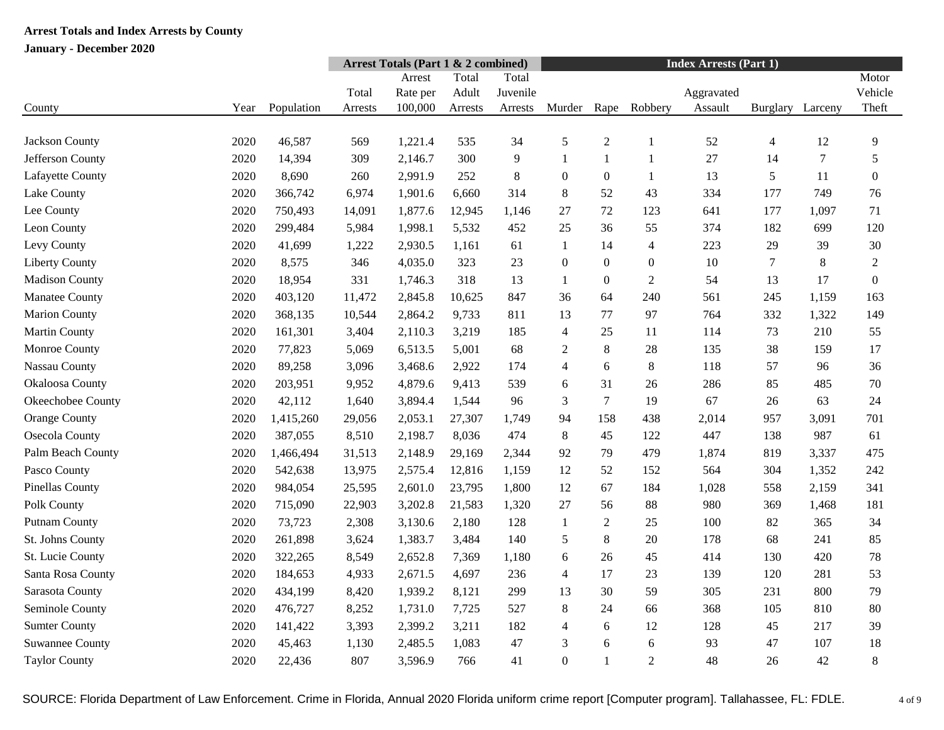|                        |      |            | <b>Arrest Totals (Part 1 &amp; 2 combined)</b> |          |         |          | <b>Index Arrests (Part 1)</b> |                  |                  |            |          |                  |                |
|------------------------|------|------------|------------------------------------------------|----------|---------|----------|-------------------------------|------------------|------------------|------------|----------|------------------|----------------|
|                        |      |            |                                                | Arrest   | Total   | Total    |                               |                  |                  |            |          |                  | Motor          |
|                        |      |            | Total                                          | Rate per | Adult   | Juvenile |                               |                  |                  | Aggravated |          |                  | Vehicle        |
| County                 | Year | Population | Arrests                                        | 100,000  | Arrests | Arrests  | Murder                        | Rape             | Robbery          | Assault    | Burglary | Larceny          | Theft          |
|                        |      |            |                                                |          |         |          |                               |                  |                  |            |          |                  |                |
| Jackson County         | 2020 | 46,587     | 569                                            | 1,221.4  | 535     | 34       | 5                             | $\overline{c}$   | 1                | 52         | 4        | 12               | 9              |
| Jefferson County       | 2020 | 14,394     | 309                                            | 2,146.7  | 300     | 9        | 1                             | $\mathbf{1}$     | 1                | 27         | 14       | $\boldsymbol{7}$ | 5              |
| Lafayette County       | 2020 | 8,690      | 260                                            | 2,991.9  | 252     | 8        | $\boldsymbol{0}$              | $\boldsymbol{0}$ | $\mathbf{1}$     | 13         | 5        | 11               | $\overline{0}$ |
| Lake County            | 2020 | 366,742    | 6,974                                          | 1,901.6  | 6,660   | 314      | 8                             | 52               | 43               | 334        | 177      | 749              | 76             |
| Lee County             | 2020 | 750,493    | 14,091                                         | 1,877.6  | 12,945  | 1,146    | 27                            | 72               | 123              | 641        | 177      | 1,097            | 71             |
| Leon County            | 2020 | 299,484    | 5,984                                          | 1,998.1  | 5,532   | 452      | 25                            | 36               | 55               | 374        | 182      | 699              | 120            |
| Levy County            | 2020 | 41,699     | 1,222                                          | 2,930.5  | 1,161   | 61       | 1                             | 14               | 4                | 223        | 29       | 39               | 30             |
| <b>Liberty County</b>  | 2020 | 8,575      | 346                                            | 4,035.0  | 323     | 23       | $\boldsymbol{0}$              | $\boldsymbol{0}$ | $\boldsymbol{0}$ | 10         | 7        | $\,8\,$          | 2              |
| <b>Madison County</b>  | 2020 | 18,954     | 331                                            | 1,746.3  | 318     | 13       | $\mathbf{1}$                  | $\boldsymbol{0}$ | $\overline{2}$   | 54         | 13       | 17               | $\overline{0}$ |
| Manatee County         | 2020 | 403,120    | 11,472                                         | 2,845.8  | 10,625  | 847      | 36                            | 64               | 240              | 561        | 245      | 1,159            | 163            |
| <b>Marion County</b>   | 2020 | 368,135    | 10,544                                         | 2,864.2  | 9,733   | 811      | 13                            | 77               | 97               | 764        | 332      | 1,322            | 149            |
| Martin County          | 2020 | 161,301    | 3,404                                          | 2,110.3  | 3,219   | 185      | $\overline{4}$                | 25               | 11               | 114        | 73       | 210              | 55             |
| Monroe County          | 2020 | 77,823     | 5,069                                          | 6,513.5  | 5,001   | 68       | 2                             | $\,8\,$          | 28               | 135        | 38       | 159              | 17             |
| Nassau County          | 2020 | 89,258     | 3,096                                          | 3,468.6  | 2,922   | 174      | $\overline{4}$                | 6                | $8\,$            | 118        | 57       | 96               | 36             |
| Okaloosa County        | 2020 | 203,951    | 9,952                                          | 4,879.6  | 9,413   | 539      | 6                             | 31               | 26               | 286        | 85       | 485              | 70             |
| Okeechobee County      | 2020 | 42,112     | 1,640                                          | 3,894.4  | 1,544   | 96       | 3                             | $\overline{7}$   | 19               | 67         | 26       | 63               | 24             |
| <b>Orange County</b>   | 2020 | 1,415,260  | 29,056                                         | 2,053.1  | 27,307  | 1,749    | 94                            | 158              | 438              | 2,014      | 957      | 3,091            | 701            |
| Osecola County         | 2020 | 387,055    | 8,510                                          | 2,198.7  | 8,036   | 474      | $\,8\,$                       | 45               | 122              | 447        | 138      | 987              | 61             |
| Palm Beach County      | 2020 | 1,466,494  | 31,513                                         | 2,148.9  | 29,169  | 2,344    | 92                            | 79               | 479              | 1,874      | 819      | 3,337            | 475            |
| Pasco County           | 2020 | 542,638    | 13,975                                         | 2,575.4  | 12,816  | 1,159    | 12                            | 52               | 152              | 564        | 304      | 1,352            | 242            |
| Pinellas County        | 2020 | 984,054    | 25,595                                         | 2,601.0  | 23,795  | 1,800    | 12                            | 67               | 184              | 1,028      | 558      | 2,159            | 341            |
| Polk County            | 2020 | 715,090    | 22,903                                         | 3,202.8  | 21,583  | 1,320    | 27                            | 56               | 88               | 980        | 369      | 1,468            | 181            |
| <b>Putnam County</b>   | 2020 | 73,723     | 2,308                                          | 3,130.6  | 2,180   | 128      | $\mathbf{1}$                  | $\sqrt{2}$       | 25               | 100        | 82       | 365              | 34             |
| St. Johns County       | 2020 | 261,898    | 3,624                                          | 1,383.7  | 3,484   | 140      | 5                             | $8\phantom{1}$   | 20               | 178        | 68       | 241              | 85             |
| St. Lucie County       | 2020 | 322,265    | 8,549                                          | 2,652.8  | 7,369   | 1,180    | 6                             | 26               | 45               | 414        | 130      | 420              | 78             |
| Santa Rosa County      | 2020 | 184,653    | 4,933                                          | 2,671.5  | 4,697   | 236      | $\overline{4}$                | 17               | 23               | 139        | 120      | 281              | 53             |
| Sarasota County        | 2020 | 434,199    | 8,420                                          | 1,939.2  | 8,121   | 299      | 13                            | 30               | 59               | 305        | 231      | 800              | 79             |
| Seminole County        | 2020 | 476,727    | 8,252                                          | 1,731.0  | 7,725   | 527      | $8\,$                         | 24               | 66               | 368        | 105      | 810              | 80             |
| <b>Sumter County</b>   | 2020 | 141,422    | 3,393                                          | 2,399.2  | 3,211   | 182      | $\overline{4}$                | 6                | 12               | 128        | 45       | 217              | 39             |
| <b>Suwannee County</b> | 2020 | 45,463     | 1,130                                          | 2,485.5  | 1,083   | 47       | $\mathfrak{Z}$                | 6                | 6                | 93         | 47       | 107              | 18             |
| <b>Taylor County</b>   | 2020 | 22,436     | 807                                            | 3,596.9  | 766     | 41       | $\boldsymbol{0}$              | $\mathbf{1}$     | $\overline{2}$   | 48         | 26       | 42               | 8              |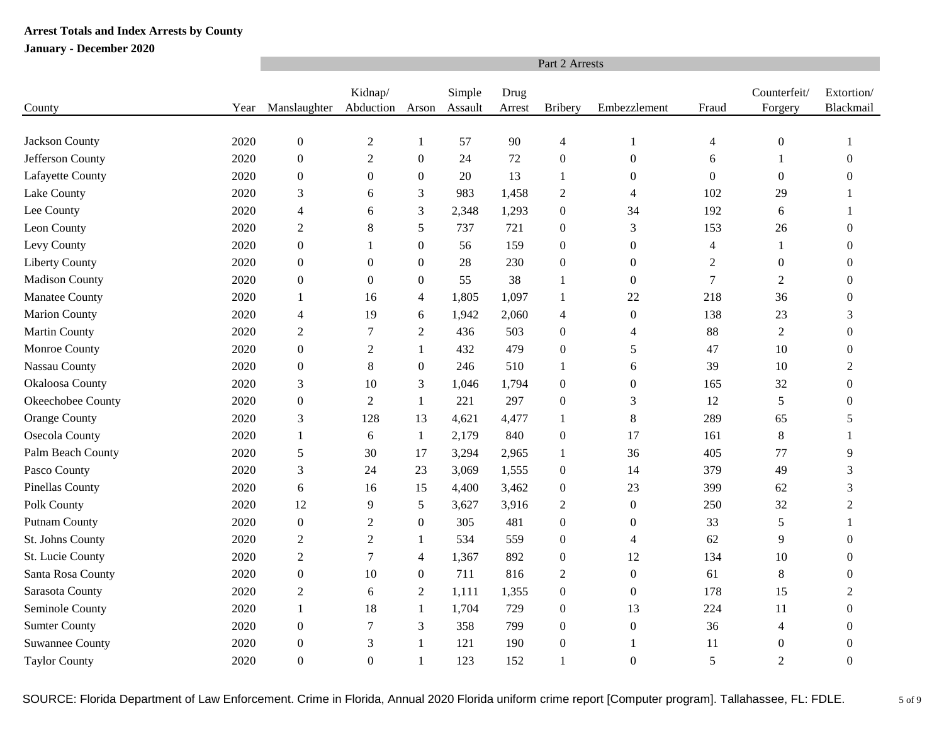|                        |      | Part 2 Arrests           |                      |                  |                   |                |                  |                  |                |                         |                         |  |  |
|------------------------|------|--------------------------|----------------------|------------------|-------------------|----------------|------------------|------------------|----------------|-------------------------|-------------------------|--|--|
| County                 | Year | Manslaughter             | Kidnap/<br>Abduction | Arson            | Simple<br>Assault | Drug<br>Arrest | <b>Bribery</b>   | Embezzlement     | Fraud          | Counterfeit/<br>Forgery | Extortion/<br>Blackmail |  |  |
|                        |      |                          |                      |                  |                   |                |                  |                  |                |                         |                         |  |  |
| Jackson County         | 2020 | $\boldsymbol{0}$         | $\overline{2}$       | $\mathbf{1}$     | 57                | 90             | $\overline{4}$   | $\mathbf{1}$     | 4              | $\boldsymbol{0}$        | -1                      |  |  |
| Jefferson County       | 2020 | $\boldsymbol{0}$         | $\sqrt{2}$           | $\boldsymbol{0}$ | 24                | 72             | $\boldsymbol{0}$ | $\boldsymbol{0}$ | 6              | 1                       | $\mathbf{0}$            |  |  |
| Lafayette County       | 2020 | $\boldsymbol{0}$         | $\mathbf{0}$         | $\mathbf{0}$     | 20                | 13             | $\mathbf{1}$     | $\boldsymbol{0}$ | $\overline{0}$ | $\theta$                | $\Omega$                |  |  |
| Lake County            | 2020 | 3                        | 6                    | 3                | 983               | 1,458          | $\overline{2}$   | $\overline{4}$   | 102            | 29                      |                         |  |  |
| Lee County             | 2020 | $\overline{4}$           | 6                    | 3                | 2,348             | 1,293          | $\boldsymbol{0}$ | 34               | 192            | 6                       |                         |  |  |
| Leon County            | 2020 | $\mathfrak{2}$           | $\,8\,$              | 5                | 737               | 721            | $\boldsymbol{0}$ | 3                | 153            | 26                      | $\Omega$                |  |  |
| Levy County            | 2020 | $\boldsymbol{0}$         |                      | $\boldsymbol{0}$ | 56                | 159            | $\boldsymbol{0}$ | $\boldsymbol{0}$ | 4              | $\mathbf{1}$            | $\Omega$                |  |  |
| <b>Liberty County</b>  | 2020 | $\boldsymbol{0}$         | $\boldsymbol{0}$     | $\boldsymbol{0}$ | 28                | 230            | $\boldsymbol{0}$ | $\boldsymbol{0}$ | $\sqrt{2}$     | $\boldsymbol{0}$        | $\mathbf{0}$            |  |  |
| <b>Madison County</b>  | 2020 | $\boldsymbol{0}$         | $\mathbf{0}$         | $\boldsymbol{0}$ | 55                | 38             | 1                | $\boldsymbol{0}$ | $\tau$         | $\overline{2}$          | $\Omega$                |  |  |
| Manatee County         | 2020 | $\mathbf{1}$             | 16                   | 4                | 1,805             | 1,097          | 1                | 22               | 218            | 36                      | $\theta$                |  |  |
| <b>Marion County</b>   | 2020 | $\overline{\mathcal{A}}$ | 19                   | 6                | 1,942             | 2,060          | $\overline{4}$   | $\boldsymbol{0}$ | 138            | 23                      | 3                       |  |  |
| <b>Martin County</b>   | 2020 | $\boldsymbol{2}$         | 7                    | $\overline{c}$   | 436               | 503            | $\boldsymbol{0}$ | $\overline{4}$   | 88             | $\overline{2}$          | $\overline{0}$          |  |  |
| Monroe County          | 2020 | $\boldsymbol{0}$         | $\mathfrak{2}$       | $\mathbf{1}$     | 432               | 479            | $\boldsymbol{0}$ | 5                | 47             | 10                      | $\boldsymbol{0}$        |  |  |
| Nassau County          | 2020 | $\boldsymbol{0}$         | $\,8\,$              | $\boldsymbol{0}$ | 246               | 510            | $\mathbf{1}$     | 6                | 39             | 10                      | $\mathfrak{2}$          |  |  |
| Okaloosa County        | 2020 | 3                        | 10                   | 3                | 1,046             | 1,794          | $\boldsymbol{0}$ | $\boldsymbol{0}$ | 165            | 32                      | $\boldsymbol{0}$        |  |  |
| Okeechobee County      | 2020 | $\boldsymbol{0}$         | 2                    | 1                | 221               | 297            | $\boldsymbol{0}$ | 3                | 12             | $\overline{5}$          | $\theta$                |  |  |
| Orange County          | 2020 | 3                        | 128                  | 13               | 4,621             | 4,477          | 1                | 8                | 289            | 65                      | 5                       |  |  |
| Osecola County         | 2020 | $\mathbf{1}$             | 6                    | $\mathbf{1}$     | 2,179             | 840            | $\boldsymbol{0}$ | 17               | 161            | $8\phantom{1}$          | 1                       |  |  |
| Palm Beach County      | 2020 | 5                        | 30                   | 17               | 3,294             | 2,965          | 1                | 36               | 405            | 77                      | 9                       |  |  |
| Pasco County           | 2020 | 3                        | 24                   | 23               | 3,069             | 1,555          | $\boldsymbol{0}$ | 14               | 379            | 49                      | 3                       |  |  |
| <b>Pinellas County</b> | 2020 | 6                        | 16                   | 15               | 4,400             | 3,462          | $\boldsymbol{0}$ | 23               | 399            | 62                      | 3                       |  |  |
| Polk County            | 2020 | 12                       | 9                    | 5                | 3,627             | 3,916          | $\mathbf{2}$     | $\boldsymbol{0}$ | 250            | 32                      | $\overline{2}$          |  |  |
| <b>Putnam County</b>   | 2020 | $\boldsymbol{0}$         | $\overline{2}$       | $\boldsymbol{0}$ | 305               | 481            | $\boldsymbol{0}$ | $\boldsymbol{0}$ | 33             | $\mathfrak{S}$          |                         |  |  |
| St. Johns County       | 2020 | $\overline{c}$           | 2                    | 1                | 534               | 559            | $\boldsymbol{0}$ | $\overline{4}$   | 62             | 9                       | $\Omega$                |  |  |
| St. Lucie County       | 2020 | $\sqrt{2}$               | $\tau$               | 4                | 1,367             | 892            | $\boldsymbol{0}$ | 12               | 134            | 10                      | $\mathbf{0}$            |  |  |
| Santa Rosa County      | 2020 | $\boldsymbol{0}$         | 10                   | $\boldsymbol{0}$ | 711               | 816            | $\sqrt{2}$       | $\mathbf{0}$     | 61             | 8                       | $\Omega$                |  |  |
| Sarasota County        | 2020 | $\overline{2}$           | 6                    | $\overline{2}$   | 1,111             | 1,355          | $\boldsymbol{0}$ | $\mathbf{0}$     | 178            | 15                      | 2                       |  |  |
| Seminole County        | 2020 | $\mathbf{1}$             | 18                   | $\mathbf{1}$     | 1,704             | 729            | $\boldsymbol{0}$ | 13               | 224            | 11                      | $\mathbf{0}$            |  |  |
| <b>Sumter County</b>   | 2020 | $\boldsymbol{0}$         | $\tau$               | 3                | 358               | 799            | $\boldsymbol{0}$ | $\boldsymbol{0}$ | 36             | $\overline{4}$          | $\Omega$                |  |  |
| <b>Suwannee County</b> | 2020 | $\boldsymbol{0}$         | 3                    | 1                | 121               | 190            | $\boldsymbol{0}$ | 1                | 11             | $\boldsymbol{0}$        | $\theta$                |  |  |
| <b>Taylor County</b>   | 2020 | $\mathbf{0}$             | $\boldsymbol{0}$     | $\mathbf{1}$     | 123               | 152            | $\mathbf{1}$     | $\boldsymbol{0}$ | 5              | $\overline{2}$          | $\Omega$                |  |  |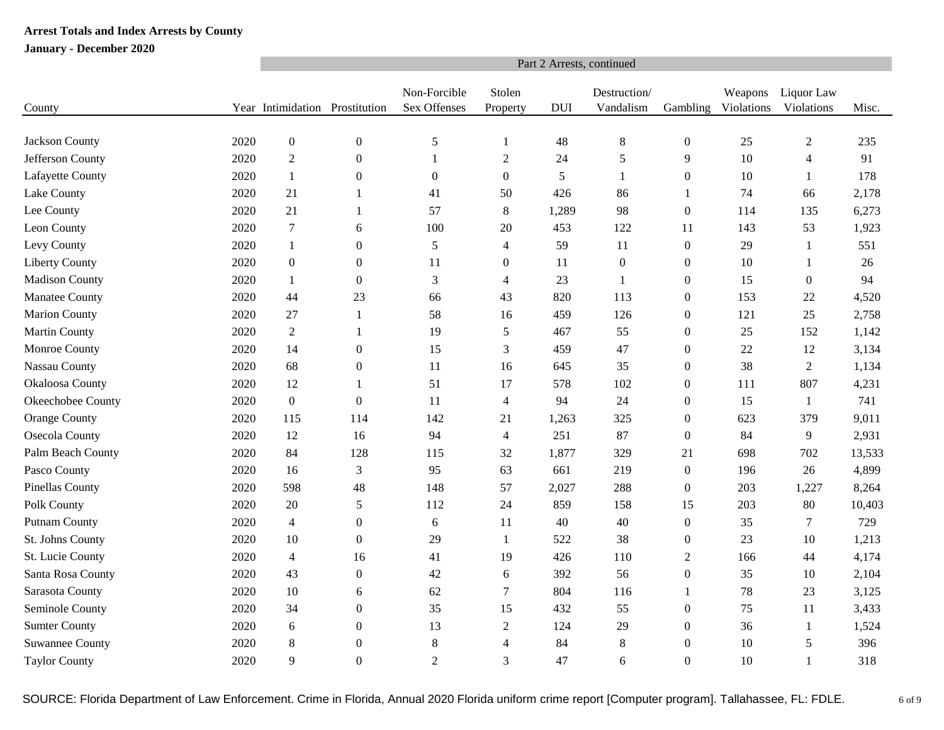|                        |      | Part 2 Arrests, continued      |                  |                              |                         |            |                           |                  |                       |                          |        |  |  |  |
|------------------------|------|--------------------------------|------------------|------------------------------|-------------------------|------------|---------------------------|------------------|-----------------------|--------------------------|--------|--|--|--|
| County                 |      | Year Intimidation Prostitution |                  | Non-Forcible<br>Sex Offenses | Stolen<br>Property      | <b>DUI</b> | Destruction/<br>Vandalism | Gambling         | Weapons<br>Violations | Liquor Law<br>Violations | Misc.  |  |  |  |
|                        |      |                                |                  |                              |                         |            |                           |                  |                       |                          |        |  |  |  |
| Jackson County         | 2020 | $\boldsymbol{0}$               | $\boldsymbol{0}$ | $\sqrt{5}$                   | 1                       | 48         | $\,8\,$                   | $\boldsymbol{0}$ | 25                    | $\overline{c}$           | 235    |  |  |  |
| Jefferson County       | 2020 | $\sqrt{2}$                     | $\boldsymbol{0}$ | $\mathbf{1}$                 | $\sqrt{2}$              | 24         | 5                         | 9                | 10                    | $\overline{4}$           | 91     |  |  |  |
| Lafayette County       | 2020 | $\mathbf{1}$                   | $\theta$         | $\boldsymbol{0}$             | $\boldsymbol{0}$        | 5          | $\mathbf{1}$              | $\boldsymbol{0}$ | 10                    | $\mathbf{1}$             | 178    |  |  |  |
| Lake County            | 2020 | 21                             | 1                | 41                           | 50                      | 426        | 86                        | 1                | 74                    | 66                       | 2,178  |  |  |  |
| Lee County             | 2020 | 21                             | 1                | 57                           | $8\,$                   | 1,289      | 98                        | $\boldsymbol{0}$ | 114                   | 135                      | 6,273  |  |  |  |
| Leon County            | 2020 | $\boldsymbol{7}$               | 6                | 100                          | 20                      | 453        | 122                       | 11               | 143                   | 53                       | 1,923  |  |  |  |
| Levy County            | 2020 | $\mathbf{1}$                   | $\boldsymbol{0}$ | $\sqrt{5}$                   | $\overline{4}$          | 59         | 11                        | $\boldsymbol{0}$ | 29                    | $\mathbf{1}$             | 551    |  |  |  |
| <b>Liberty County</b>  | 2020 | $\boldsymbol{0}$               | $\theta$         | 11                           | $\boldsymbol{0}$        | 11         | $\boldsymbol{0}$          | $\boldsymbol{0}$ | 10                    | $\mathbf{1}$             | 26     |  |  |  |
| <b>Madison County</b>  | 2020 | 1                              | $\overline{0}$   | 3                            | $\overline{4}$          | 23         | 1                         | $\boldsymbol{0}$ | 15                    | $\boldsymbol{0}$         | 94     |  |  |  |
| Manatee County         | 2020 | 44                             | 23               | 66                           | 43                      | 820        | 113                       | $\Omega$         | 153                   | 22                       | 4,520  |  |  |  |
| <b>Marion County</b>   | 2020 | 27                             | 1                | 58                           | 16                      | 459        | 126                       | $\boldsymbol{0}$ | 121                   | 25                       | 2,758  |  |  |  |
| <b>Martin County</b>   | 2020 | $\overline{2}$                 | 1                | 19                           | 5                       | 467        | 55                        | $\boldsymbol{0}$ | 25                    | 152                      | 1,142  |  |  |  |
| Monroe County          | 2020 | 14                             | $\boldsymbol{0}$ | 15                           | 3                       | 459        | 47                        | $\boldsymbol{0}$ | 22                    | 12                       | 3,134  |  |  |  |
| Nassau County          | 2020 | 68                             | $\mathbf{0}$     | 11                           | 16                      | 645        | 35                        | $\boldsymbol{0}$ | 38                    | $\overline{2}$           | 1,134  |  |  |  |
| Okaloosa County        | 2020 | 12                             | 1                | 51                           | 17                      | 578        | 102                       | $\boldsymbol{0}$ | 111                   | 807                      | 4,231  |  |  |  |
| Okeechobee County      | 2020 | $\boldsymbol{0}$               | $\boldsymbol{0}$ | 11                           | $\overline{\mathbf{4}}$ | 94         | 24                        | $\boldsymbol{0}$ | 15                    | 1                        | 741    |  |  |  |
| <b>Orange County</b>   | 2020 | 115                            | 114              | 142                          | 21                      | 1,263      | 325                       | $\mathbf{0}$     | 623                   | 379                      | 9,011  |  |  |  |
| Osecola County         | 2020 | 12                             | 16               | 94                           | $\overline{4}$          | 251        | 87                        | $\boldsymbol{0}$ | 84                    | 9                        | 2,931  |  |  |  |
| Palm Beach County      | 2020 | 84                             | 128              | 115                          | 32                      | 1,877      | 329                       | 21               | 698                   | 702                      | 13,533 |  |  |  |
| Pasco County           | 2020 | 16                             | 3                | 95                           | 63                      | 661        | 219                       | $\boldsymbol{0}$ | 196                   | 26                       | 4,899  |  |  |  |
| Pinellas County        | 2020 | 598                            | 48               | 148                          | 57                      | 2,027      | 288                       | $\boldsymbol{0}$ | 203                   | 1,227                    | 8,264  |  |  |  |
| Polk County            | 2020 | 20                             | 5                | 112                          | 24                      | 859        | 158                       | 15               | 203                   | 80                       | 10,403 |  |  |  |
| <b>Putnam County</b>   | 2020 | $\overline{4}$                 | $\boldsymbol{0}$ | $\sqrt{6}$                   | 11                      | 40         | 40                        | $\boldsymbol{0}$ | 35                    | $\boldsymbol{7}$         | 729    |  |  |  |
| St. Johns County       | 2020 | 10                             | $\boldsymbol{0}$ | 29                           | 1                       | 522        | 38                        | $\boldsymbol{0}$ | 23                    | 10                       | 1,213  |  |  |  |
| St. Lucie County       | 2020 | $\overline{4}$                 | 16               | 41                           | 19                      | 426        | 110                       | 2                | 166                   | 44                       | 4,174  |  |  |  |
| Santa Rosa County      | 2020 | 43                             | $\boldsymbol{0}$ | 42                           | 6                       | 392        | 56                        | $\boldsymbol{0}$ | 35                    | 10                       | 2,104  |  |  |  |
| Sarasota County        | 2020 | 10                             | 6                | 62                           | $\tau$                  | 804        | 116                       | 1                | 78                    | 23                       | 3,125  |  |  |  |
| Seminole County        | 2020 | 34                             | $\boldsymbol{0}$ | 35                           | 15                      | 432        | 55                        | $\boldsymbol{0}$ | 75                    | 11                       | 3,433  |  |  |  |
| <b>Sumter County</b>   | 2020 | $\sqrt{6}$                     | $\boldsymbol{0}$ | 13                           | $\boldsymbol{2}$        | 124        | 29                        | $\boldsymbol{0}$ | 36                    | $\mathbf{1}$             | 1,524  |  |  |  |
| <b>Suwannee County</b> | 2020 | $8\phantom{.0}$                | $\boldsymbol{0}$ | $\,8\,$                      | $\overline{4}$          | 84         | 8                         | $\boldsymbol{0}$ | 10                    | 5                        | 396    |  |  |  |
| <b>Taylor County</b>   | 2020 | 9                              | $\Omega$         | $\overline{2}$               | 3                       | 47         | 6                         | $\Omega$         | 10                    | 1                        | 318    |  |  |  |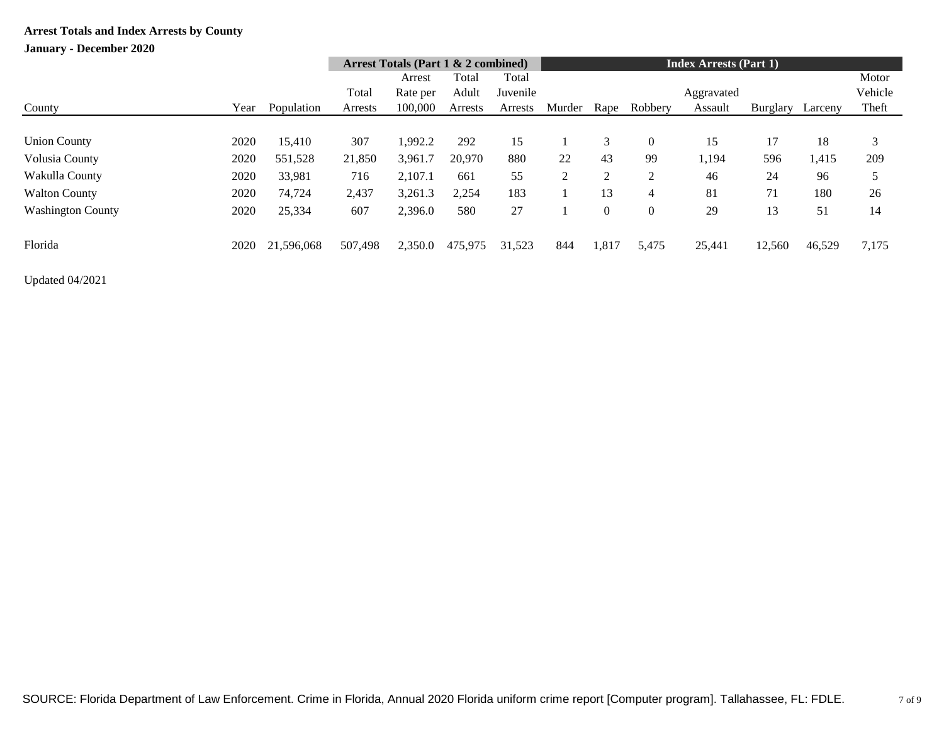## **January - December 2020**

|                          |      |            | Arrest Totals (Part $1 \& 2$ combined) |          |         |          |        | <b>Index Arrests (Part 1)</b> |                |            |          |         |         |  |
|--------------------------|------|------------|----------------------------------------|----------|---------|----------|--------|-------------------------------|----------------|------------|----------|---------|---------|--|
|                          |      |            |                                        | Arrest   | Total   | Total    |        |                               |                |            |          |         | Motor   |  |
|                          |      |            | Total                                  | Rate per | Adult   | Juvenile |        |                               |                | Aggravated |          |         | Vehicle |  |
| County                   | Year | Population | Arrests                                | 100,000  | Arrests | Arrests  | Murder | Rape                          | Robbery        | Assault    | Burglary | Larceny | Theft   |  |
|                          |      |            |                                        |          |         |          |        |                               |                |            |          |         |         |  |
| <b>Union County</b>      | 2020 | 15,410     | 307                                    | 1,992.2  | 292     | 15       |        | 3                             | $\overline{0}$ | 15         |          | 18      | 3       |  |
| Volusia County           | 2020 | 551,528    | 21,850                                 | 3,961.7  | 20,970  | 880      | 22     | 43                            | 99             | 1,194      | 596      | 1,415   | 209     |  |
| Wakulla County           | 2020 | 33,981     | 716                                    | 2,107.1  | 661     | 55       | 2      | $\overline{2}$                | 2              | 46         | 24       | 96      | 5       |  |
| <b>Walton County</b>     | 2020 | 74,724     | 2,437                                  | 3,261.3  | 2,254   | 183      |        | 13                            | 4              | 81         | 71       | 180     | 26      |  |
| <b>Washington County</b> | 2020 | 25,334     | 607                                    | 2,396.0  | 580     | 27       |        | $\Omega$                      | $\mathbf{0}$   | 29         | 13       | 51      | 14      |  |
| Florida                  | 2020 | 21,596,068 | 507,498                                | 2,350.0  | 475,975 | 31,523   | 844    | 1,817                         | 5,475          | 25,441     | 12,560   | 46,529  | 7,175   |  |

Updated 04/2021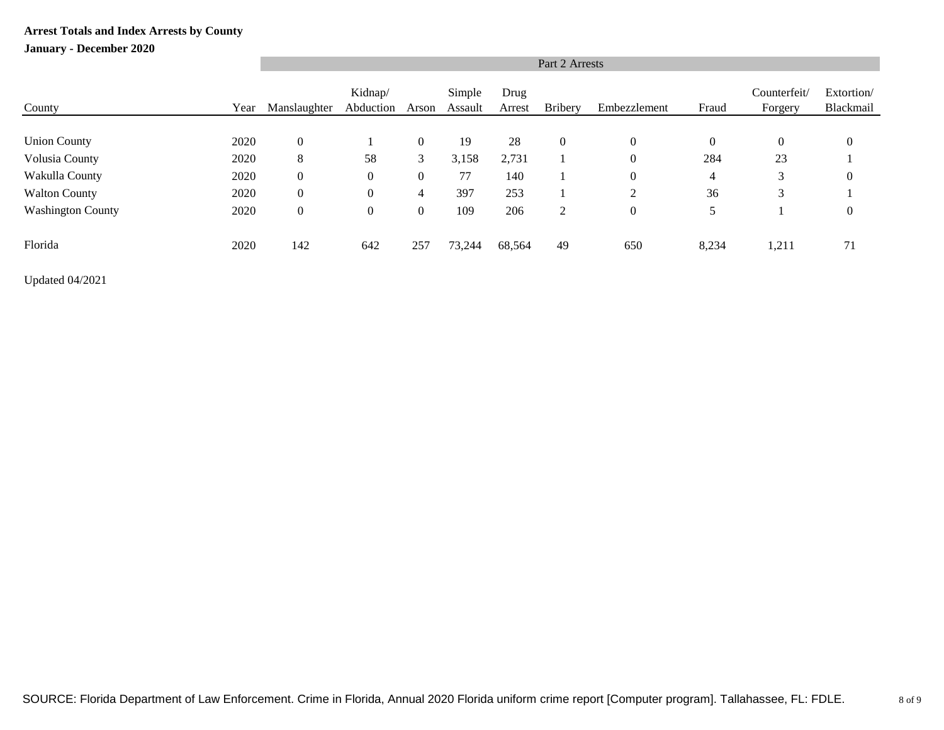### **January - December 2020**

|                          | Part 2 Arrests |                  |                      |                |                   |                |                |                |              |                         |                         |  |  |
|--------------------------|----------------|------------------|----------------------|----------------|-------------------|----------------|----------------|----------------|--------------|-------------------------|-------------------------|--|--|
| County                   | Year           | Manslaughter     | Kidnap/<br>Abduction | Arson          | Simple<br>Assault | Drug<br>Arrest | <b>Bribery</b> | Embezzlement   | Fraud        | Counterfeit/<br>Forgery | Extortion/<br>Blackmail |  |  |
|                          |                |                  |                      |                |                   |                |                |                |              |                         |                         |  |  |
| <b>Union County</b>      | 2020           | $\boldsymbol{0}$ |                      | $\overline{0}$ | 19                | 28             | $\mathbf{0}$   | $\overline{0}$ | $\mathbf{0}$ | $\boldsymbol{0}$        | $\theta$                |  |  |
| Volusia County           | 2020           | 8                | 58                   | 3              | 3,158             | 2,731          |                | $\overline{0}$ | 284          | 23                      |                         |  |  |
| Wakulla County           | 2020           | $\boldsymbol{0}$ | $\boldsymbol{0}$     | $\overline{0}$ | 77                | 140            |                | $\overline{0}$ | 4            | 3                       | $\theta$                |  |  |
| <b>Walton County</b>     | 2020           | $\boldsymbol{0}$ | $\boldsymbol{0}$     | $\overline{4}$ | 397               | 253            |                | $\overline{2}$ | 36           | 3                       |                         |  |  |
| <b>Washington County</b> | 2020           | $\mathbf{0}$     | $\boldsymbol{0}$     | $\overline{0}$ | 109               | 206            | $\overline{2}$ | $\overline{0}$ | 5            |                         | $\boldsymbol{0}$        |  |  |
| Florida                  | 2020           | 142              | 642                  | 257            | 73,244            | 68,564         | 49             | 650            | 8,234        | 1,211                   | 71                      |  |  |

Updated 04/2021